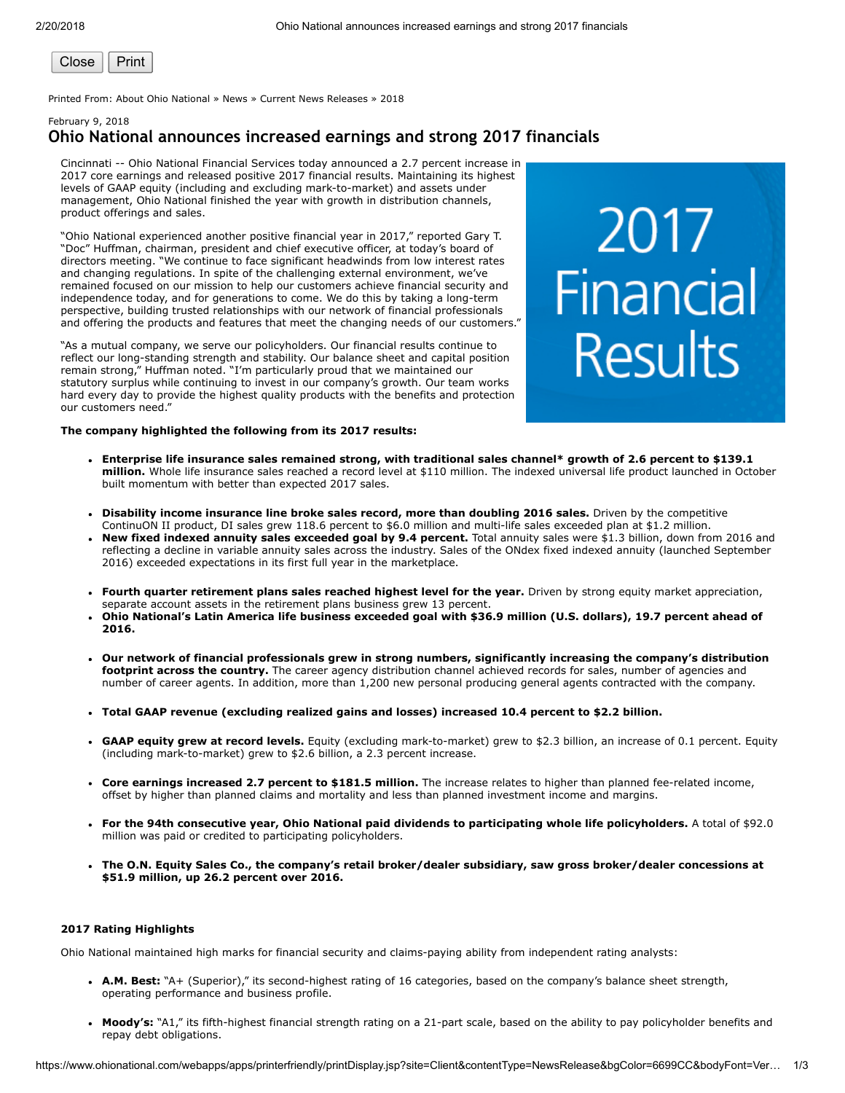

Printed From: About Ohio National » News » Current News Releases » 2018

# February 9, 2018 Ohio National announces increased earnings and strong 2017 financials

Cincinnati -- Ohio National Financial Services today announced a 2.7 percent increase in 2017 core earnings and released positive 2017 financial results. Maintaining its highest levels of GAAP equity (including and excluding mark-to-market) and assets under management, Ohio National finished the year with growth in distribution channels, product offerings and sales.

"Ohio National experienced another positive financial year in 2017," reported Gary T. "Doc" Huffman, chairman, president and chief executive officer, at today's board of directors meeting. "We continue to face significant headwinds from low interest rates and changing regulations. In spite of the challenging external environment, we've remained focused on our mission to help our customers achieve financial security and independence today, and for generations to come. We do this by taking a long-term perspective, building trusted relationships with our network of financial professionals and offering the products and features that meet the changing needs of our customers."

"As a mutual company, we serve our policyholders. Our financial results continue to reflect our long-standing strength and stability. Our balance sheet and capital position remain strong," Huffman noted. "I'm particularly proud that we maintained our statutory surplus while continuing to invest in our company's growth. Our team works hard every day to provide the highest quality products with the benefits and protection our customers need."

# 2017<br>Financial **Results**

#### The company highlighted the following from its 2017 results:

- Enterprise life insurance sales remained strong, with traditional sales channel\* growth of 2.6 percent to \$139.1 million. Whole life insurance sales reached a record level at \$110 million. The indexed universal life product launched in October built momentum with better than expected 2017 sales.
- Disability income insurance line broke sales record, more than doubling 2016 sales. Driven by the competitive ContinuON II product, DI sales grew 118.6 percent to \$6.0 million and multi-life sales exceeded plan at \$1.2 million.
- New fixed indexed annuity sales exceeded goal by 9.4 percent. Total annuity sales were \$1.3 billion, down from 2016 and reflecting a decline in variable annuity sales across the industry. Sales of the ONdex fixed indexed annuity (launched September 2016) exceeded expectations in its first full year in the marketplace.
- Fourth quarter retirement plans sales reached highest level for the year. Driven by strong equity market appreciation, separate account assets in the retirement plans business grew 13 percent.
- Ohio National's Latin America life business exceeded goal with \$36.9 million (U.S. dollars), 19.7 percent ahead of 2016.
- Our network of financial professionals grew in strong numbers, significantly increasing the company's distribution footprint across the country. The career agency distribution channel achieved records for sales, number of agencies and number of career agents. In addition, more than 1,200 new personal producing general agents contracted with the company.
- Total GAAP revenue (excluding realized gains and losses) increased 10.4 percent to \$2.2 billion.
- GAAP equity grew at record levels. Equity (excluding mark-to-market) grew to \$2.3 billion, an increase of 0.1 percent. Equity (including mark-to-market) grew to \$2.6 billion, a 2.3 percent increase.
- Core earnings increased 2.7 percent to \$181.5 million. The increase relates to higher than planned fee-related income, offset by higher than planned claims and mortality and less than planned investment income and margins.
- For the 94th consecutive year, Ohio National paid dividends to participating whole life policyholders. A total of \$92.0 million was paid or credited to participating policyholders.
- The O.N. Equity Sales Co., the company's retail broker/dealer subsidiary, saw gross broker/dealer concessions at \$51.9 million, up 26.2 percent over 2016.

# 2017 Rating Highlights

Ohio National maintained high marks for financial security and claims-paying ability from independent rating analysts:

- A.M. Best: "A+ (Superior)," its second-highest rating of 16 categories, based on the company's balance sheet strength, operating performance and business profile.
- Moody's: "A1," its fifth-highest financial strength rating on a 21-part scale, based on the ability to pay policyholder benefits and repay debt obligations.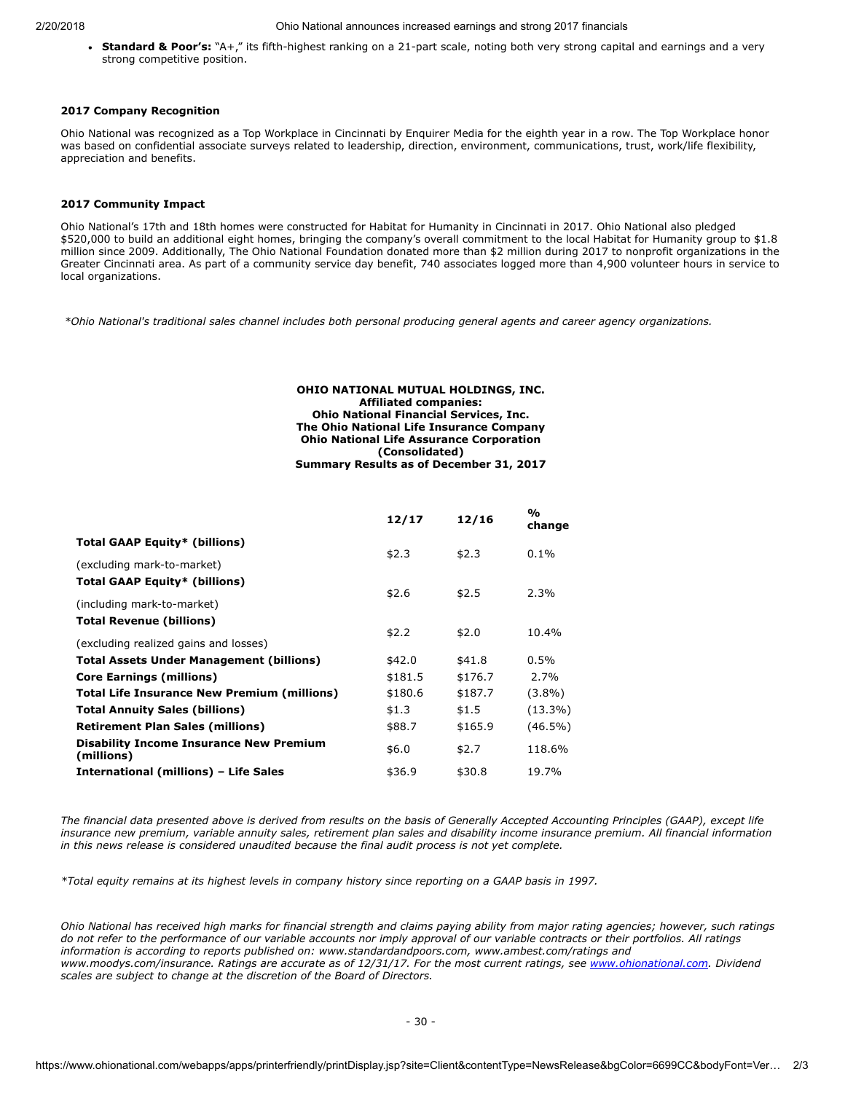#### 2/20/2018 Ohio National announces increased earnings and strong 2017 financials

• Standard & Poor's: "A+," its fifth-highest ranking on a 21-part scale, noting both very strong capital and earnings and a very strong competitive position.

### 2017 Company Recognition

Ohio National was recognized as a Top Workplace in Cincinnati by Enquirer Media for the eighth year in a row. The Top Workplace honor was based on confidential associate surveys related to leadership, direction, environment, communications, trust, work/life flexibility, appreciation and benefits.

# 2017 Community Impact

Ohio National's 17th and 18th homes were constructed for Habitat for Humanity in Cincinnati in 2017. Ohio National also pledged \$520,000 to build an additional eight homes, bringing the company's overall commitment to the local Habitat for Humanity group to \$1.8 million since 2009. Additionally, The Ohio National Foundation donated more than \$2 million during 2017 to nonprofit organizations in the Greater Cincinnati area. As part of a community service day benefit, 740 associates logged more than 4,900 volunteer hours in service to local organizations.

\*Ohio National's traditional sales channel includes both personal producing general agents and career agency organizations.

#### OHIO NATIONAL MUTUAL HOLDINGS, INC. Affiliated companies: Ohio National Financial Services, Inc. The Ohio National Life Insurance Company Ohio National Life Assurance Corporation (Consolidated) Summary Results as of December 31, 2017

| 12/17   | 12/16          | %<br>change    |
|---------|----------------|----------------|
|         |                | $0.1\%$        |
|         |                |                |
|         |                | 2.3%           |
|         |                |                |
| \$2.2   | \$2.0          | 10.4%          |
|         |                |                |
| \$181.5 | \$176.7        | 2.7%           |
| \$180.6 | \$187.7        | $(3.8\%)$      |
| \$1.3   | \$1.5          | $(13.3\%)$     |
| \$88.7  | \$165.9        | $(46.5\%)$     |
| \$6.0   | \$2.7          | 118.6%         |
| \$36.9  | \$30.8         | 19.7%          |
|         | \$2.3<br>\$2.6 | \$2.3<br>\$2.5 |

The financial data presented above is derived from results on the basis of Generally Accepted Accounting Principles (GAAP), except life insurance new premium, variable annuity sales, retirement plan sales and disability income insurance premium. All financial information in this news release is considered unaudited because the final audit process is not yet complete.

\*Total equity remains at its highest levels in company history since reporting on a GAAP basis in 1997.

Ohio National has received high marks for financial strength and claims paying ability from major rating agencies; however, such ratings do not refer to the performance of our variable accounts nor imply approval of our variable contracts or their portfolios. All ratings information is according to reports published on: www.standardandpoors.com, www.ambest.com/ratings and www.moodys.com/insurance. Ratings are accurate as of 12/31/17. For the most current ratings, see [www.ohionational.com.](http://www.ohionational.com/) Dividend scales are subject to change at the discretion of the Board of Directors.